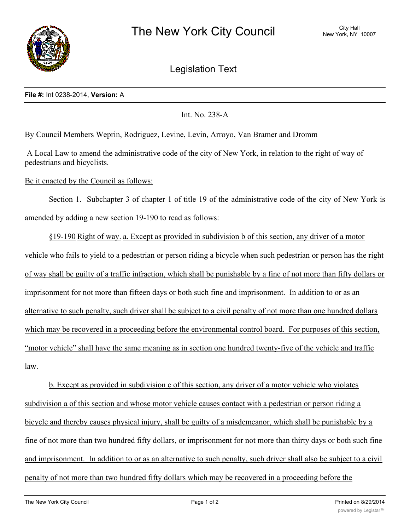

Legislation Text

## **File #:** Int 0238-2014, **Version:** A

Int. No. 238-A

By Council Members Weprin, Rodriguez, Levine, Levin, Arroyo, Van Bramer and Dromm

A Local Law to amend the administrative code of the city of New York, in relation to the right of way of pedestrians and bicyclists.

## Be it enacted by the Council as follows:

Section 1. Subchapter 3 of chapter 1 of title 19 of the administrative code of the city of New York is amended by adding a new section 19-190 to read as follows:

§19-190 Right of way. a. Except as provided in subdivision b of this section, any driver of a motor

vehicle who fails to yield to a pedestrian or person riding a bicycle when such pedestrian or person has the right of way shall be guilty of a traffic infraction, which shall be punishable by a fine of not more than fifty dollars or imprisonment for not more than fifteen days or both such fine and imprisonment. In addition to or as an alternative to such penalty, such driver shall be subject to a civil penalty of not more than one hundred dollars which may be recovered in a proceeding before the environmental control board. For purposes of this section, "motor vehicle" shall have the same meaning as in section one hundred twenty-five of the vehicle and traffic law.

b. Except as provided in subdivision c of this section, any driver of a motor vehicle who violates subdivision a of this section and whose motor vehicle causes contact with a pedestrian or person riding a bicycle and thereby causes physical injury, shall be guilty of a misdemeanor, which shall be punishable by a fine of not more than two hundred fifty dollars, or imprisonment for not more than thirty days or both such fine and imprisonment. In addition to or as an alternative to such penalty, such driver shall also be subject to a civil penalty of not more than two hundred fifty dollars which may be recovered in a proceeding before the